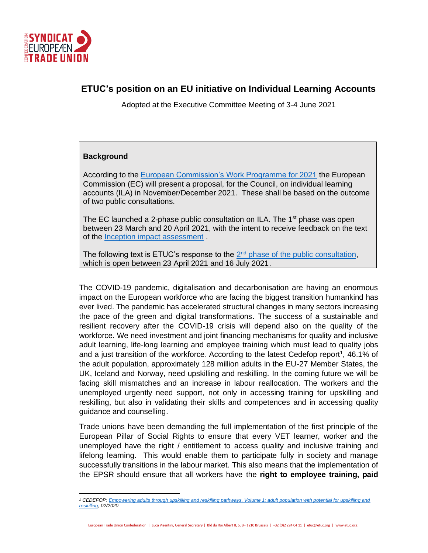

# **ETUC's position on an EU initiative on Individual Learning Accounts**

Adopted at the Executive Committee Meeting of 3-4 June 2021

#### **Background**

According to the [European Commission's Work Programme for 2021](https://eur-lex.europa.eu/resource.html?uri=cellar%3A91ce5c0f-12b6-11eb-9a54-01aa75ed71a1.0001.02/DOC_2&format=PDF) the European Commission (EC) will present a proposal, for the Council, on individual learning accounts (ILA) in November/December 2021. These shall be based on the outcome of two public consultations.

The EC launched a 2-phase public consultation on ILA. The  $1<sup>st</sup>$  phase was open between 23 March and 20 April 2021, with the intent to receive feedback on the text of the [Inception impact assessment](https://ec.europa.eu/info/law/better-regulation/have-your-say/initiatives/12876-Adult-skills-Individual-Learning-Accounts-a-tool-to-improve-access-to-training) .

The following text is ETUC's response to the  $2<sup>nd</sup>$  [phase of the public consultation,](https://ec.europa.eu/info/law/better-regulation/have-your-say/initiatives/12876-Individual-Learning-Accounts-A-possibility-to-empower-individuals-to-undertake-training/public-consultation) which is open between 23 April 2021 and 16 July 2021.

The COVID-19 pandemic, digitalisation and decarbonisation are having an enormous impact on the European workforce who are facing the biggest transition humankind has ever lived. The pandemic has accelerated structural changes in many sectors increasing the pace of the green and digital transformations. The success of a sustainable and resilient recovery after the COVID-19 crisis will depend also on the quality of the workforce. We need investment and joint financing mechanisms for quality and inclusive adult learning, life-long learning and employee training which must lead to quality jobs and a just transition of the workforce. According to the latest Cedefop report<sup>1</sup>, 46.1% of the adult population, approximately 128 million adults in the EU-27 Member States, the UK, Iceland and Norway, need upskilling and reskilling. In the coming future we will be facing skill mismatches and an increase in labour reallocation. The workers and the unemployed urgently need support, not only in accessing training for upskilling and reskilling, but also in validating their skills and competences and in accessing quality guidance and counselling.

Trade unions have been demanding the full implementation of the first principle of the European Pillar of Social Rights to ensure that every VET learner, worker and the unemployed have the right / entitlement to access quality and inclusive training and lifelong learning. This would enable them to participate fully in society and manage successfully transitions in the labour market. This also means that the implementation of the EPSR should ensure that all workers have the **right to employee training, paid** 

European Trade Union Confederation | Luca Visentini, General Secretary | Bld du Roi Albert II, 5, B - 1210 Brussels | +32 (0)2 224 04 11 | etuc@etuc.org | www.etuc.org

*<sup>1</sup> CEDEFOP[: Empowering adults through upskilling and reskilling pathways. Volume 1: adult population with potential for upskilling and](https://www.cedefop.europa.eu/en/publications-and-resources/publications/3081)  [reskilling,](https://www.cedefop.europa.eu/en/publications-and-resources/publications/3081) 02/2020*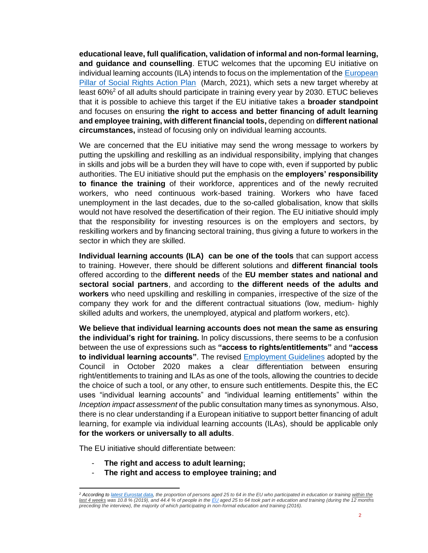**educational leave, full qualification, validation of informal and non-formal learning, and guidance and counselling**. ETUC welcomes that the upcoming EU initiative on individual learning accounts (ILA) intends to focus on the implementation of the [European](https://ec.europa.eu/info/files/european-pillar-social-rights-action-plan_en)  [Pillar of Social Rights Action Plan](https://ec.europa.eu/info/files/european-pillar-social-rights-action-plan_en) (March, 2021), which sets a new target whereby at least 60%<sup>2</sup> of all adults should participate in training every year by 2030. ETUC believes that it is possible to achieve this target if the EU initiative takes a **broader standpoint** and focuses on ensuring **the right to access and better financing of adult learning and employee training, with different financial tools,** depending on **different national circumstances,** instead of focusing only on individual learning accounts.

We are concerned that the EU initiative may send the wrong message to workers by putting the upskilling and reskilling as an individual responsibility, implying that changes in skills and jobs will be a burden they will have to cope with, even if supported by public authorities. The EU initiative should put the emphasis on the **employers' responsibility to finance the training** of their workforce, apprentices and of the newly recruited workers, who need continuous work-based training. Workers who have faced unemployment in the last decades, due to the so-called globalisation, know that skills would not have resolved the desertification of their region. The EU initiative should imply that the responsibility for investing resources is on the employers and sectors, by reskilling workers and by financing sectoral training, thus giving a future to workers in the sector in which they are skilled.

**Individual learning accounts (ILA) can be one of the tools** that can support access to training. However, there should be different solutions and **different financial tools** offered according to the **different needs** of the **EU member states and national and sectoral social partners**, and according to **the different needs of the adults and workers** who need upskilling and reskilling in companies, irrespective of the size of the company they work for and the different contractual situations (low, medium- highly skilled adults and workers, the unemployed, atypical and platform workers, etc).

**We believe that individual learning accounts does not mean the same as ensuring the individual's right for training.** In policy discussions, there seems to be a confusion between the use of expressions such as **"access to rights/entitlements"** and **"access to individual learning accounts"**. The revised [Employment Guidelines](https://eur-lex.europa.eu/legal-content/EN/TXT/?qid=1584545829001&uri=CELEX%3A52020PC0070) adopted by the Council in October 2020 makes a clear differentiation between ensuring right/entitlements to training and ILAs as one of the tools, allowing the countries to decide the choice of such a tool, or any other, to ensure such entitlements. Despite this, the EC uses "individual learning accounts" and "individual learning entitlements" within the *Inception impact assessment* of the public consultation many times as synonymous. Also, there is no clear understanding if a European initiative to support better financing of adult learning, for example via individual learning accounts (ILAs), should be applicable only **for the workers or universally to all adults**.

The EU initiative should differentiate between:

- **The right and access to adult learning;**
- **The right and access to employee training; and**

*<sup>2</sup> According t[o latest Eurostat data,](https://ec.europa.eu/eurostat/statistics-explained/index.php?title=Adult_learning_statistics#Participation_rate_of_adults_in_learning_in_the_last_12_months) the proportion of persons aged 25 to 64 in the EU who participated in education or training within the last 4 weeks was 10.8 % (2019), and 44.4 % of people in the [EU](https://ec.europa.eu/eurostat/statistics-explained/index.php?title=Glossary:EU_enlargements) aged 25 to 64 took part in education and training (during the 12 months preceding the interview), the majority of which participating in non-formal education and training (2016).*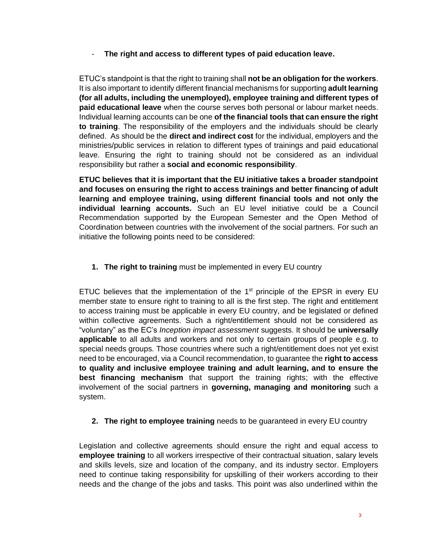# - **The right and access to different types of paid education leave.**

ETUC's standpoint is that the right to training shall **not be an obligation for the workers**. It is also important to identify different financial mechanisms for supporting **adult learning (for all adults, including the unemployed), employee training and different types of paid educational leave** when the course serves both personal or labour market needs. Individual learning accounts can be one **of the financial tools that can ensure the right to training**. The responsibility of the employers and the individuals should be clearly defined. As should be the **direct and indirect cost** for the individual, employers and the ministries/public services in relation to different types of trainings and paid educational leave. Ensuring the right to training should not be considered as an individual responsibility but rather a **social and economic responsibility**.

**ETUC believes that it is important that the EU initiative takes a broader standpoint and focuses on ensuring the right to access trainings and better financing of adult learning and employee training, using different financial tools and not only the individual learning accounts***.* Such an EU level initiative could be a Council Recommendation supported by the European Semester and the Open Method of Coordination between countries with the involvement of the social partners. For such an initiative the following points need to be considered:

# **1. The right to training** must be implemented in every EU country

ETUC believes that the implementation of the  $1<sup>st</sup>$  principle of the EPSR in every EU member state to ensure right to training to all is the first step. The right and entitlement to access training must be applicable in every EU country, and be legislated or defined within collective agreements. Such a right/entitlement should not be considered as "voluntary" as the EC's *Inception impact assessment* suggests. It should be **universally applicable** to all adults and workers and not only to certain groups of people e.g. to special needs groups. Those countries where such a right/entitlement does not yet exist need to be encouraged, via a Council recommendation, to guarantee the **right to access to quality and inclusive employee training and adult learning, and to ensure the best financing mechanism** that support the training rights; with the effective involvement of the social partners in **governing, managing and monitoring** such a system.

## **2. The right to employee training** needs to be guaranteed in every EU country

Legislation and collective agreements should ensure the right and equal access to **employee training** to all workers irrespective of their contractual situation, salary levels and skills levels, size and location of the company, and its industry sector. Employers need to continue taking responsibility for upskilling of their workers according to their needs and the change of the jobs and tasks. This point was also underlined within the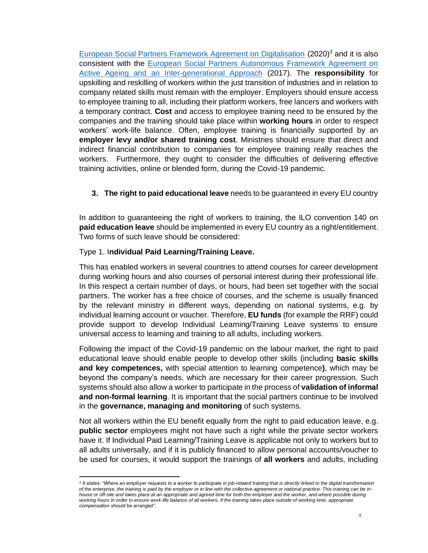[European Social Partners Framework Agreement on Digitalisation](https://www.etuc.org/system/files/document/file2020-06/Final%2022%2006%2020_Agreement%20on%20Digitalisation%202020.pdf) (2020)<sup>3</sup> and it is also consistent with the [European Social Partners Autonomous Framework Agreement on](https://www.etuc.org/sites/default/files/circular/file/2019-07/European%20Social%20Partners%E2%80%99%20Autonomous%20Framework%20Agreement%20on%20Active%20Ageing.pdf)  [Active Ageing and an Inter-generational Approach](https://www.etuc.org/sites/default/files/circular/file/2019-07/European%20Social%20Partners%E2%80%99%20Autonomous%20Framework%20Agreement%20on%20Active%20Ageing.pdf) (2017). The **responsibility** for upskilling and reskilling of workers within the just transition of industries and in relation to company related skills must remain with the employer. Employers should ensure access to employee training to all, including their platform workers, free lancers and workers with a temporary contract. **Cost** and access to employee training need to be ensured by the companies and the training should take place within **working hours** in order to respect workers' work-life balance. Often, employee training is financially supported by an **employer levy and/or shared training cost**. Ministries should ensure that direct and indirect financial contribution to companies for employee training really reaches the workers. Furthermore, they ought to consider the difficulties of delivering effective training activities, online or blended form, during the Covid-19 pandemic.

## **3. The right to paid educational leave** needs to be guaranteed in every EU country

In addition to guaranteeing the right of workers to training, the ILO convention 140 on **paid education leave** should be implemented in every EU country as a right/entitlement. Two forms of such leave should be considered:

#### Type 1. I**ndividual Paid Learning/Training Leave.**

This has enabled workers in several countries to attend courses for career development during working hours and also courses of personal interest during their professional life. In this respect a certain number of days, or hours, had been set together with the social partners. The worker has a free choice of courses, and the scheme is usually financed by the relevant ministry in different ways, depending on national systems, e.g. by individual learning account or voucher. Therefore, **EU funds** (for example the RRF) could provide support to develop Individual Learning/Training Leave systems to ensure universal access to learning and training to all adults, including workers.

Following the impact of the Covid-19 pandemic on the labour market, the right to paid educational leave should enable people to develop other skills (including **basic skills and key competences,** with special attention to learning competence**)**, which may be beyond the company's needs, which are necessary for their career progression. Such systems should also allow a worker to participate in the process of **validation of informal and non-formal learning**. It is important that the social partners continue to be involved in the **governance, managing and monitoring** of such systems.

Not all workers within the EU benefit equally from the right to paid education leave, e.g. **public sector** employees might not have such a right while the private sector workers have it. If Individual Paid Learning/Training Leave is applicable not only to workers but to all adults universally, and if it is publicly financed to allow personal accounts/voucher to be used for courses, it would support the trainings of **all workers** and adults, including

<sup>&</sup>lt;sup>3</sup> It states: "Where an employer requests to a worker to participate in job-related training that is directly linked to the digital transformation *of the enterprise, the training is paid by the employer or in line with the collective agreement or national practice. This training can be inhouse or off-site and takes place at an appropriate and agreed time for both the employer and the worker, and where possible during working hours in order to ensure work-life balance of all workers. If the training takes place outside of working time, appropriate compensation should be arranged".*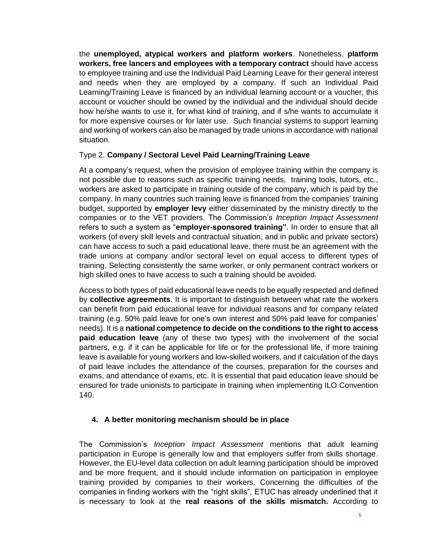the **unemployed, atypical workers and platform workers**. Nonetheless, **platform workers, free lancers and employees with a temporary contract** should have access to employee training and use the Individual Paid Learning Leave for their general interest and needs when they are employed by a company. If such an Individual Paid Learning/Training Leave is financed by an individual learning account or a voucher, this account or voucher should be owned by the individual and the individual should decide how he/she wants to use it, for what kind of training, and if s/he wants to accumulate it for more expensive courses or for later use. Such financial systems to support learning and working of workers can also be managed by trade unions in accordance with national situation.

## Type 2. **Company / Sectoral Level Paid Learning/Training Leave**

At a company's request, when the provision of employee training within the company is not possible due to reasons such as specific training needs, training tools, tutors, etc., workers are asked to participate in training outside of the company, which is paid by the company. In many countries such training leave is financed from the companies' training budget, supported by **employer levy** either disseminated by the ministry directly to the companies or to the VET providers. The Commission's *Inception Impact Assessment* refers to such a system as "**employer-sponsored training"**. In order to ensure that all workers (of every skill levels and contractual situation, and in public and private sectors) can have access to such a paid educational leave, there must be an agreement with the trade unions at company and/or sectoral level on equal access to different types of training. Selecting consistently the same worker, or only permanent contract workers or high skilled ones to have access to such a training should be avoided.

Access to both types of paid educational leave needs to be equally respected and defined by **collective agreements**. It is important to distinguish between what rate the workers can benefit from paid educational leave for individual reasons and for company related training (e.g. 50% paid leave for one's own interest and 50% paid leave for companies' needs). It is a **national competence to decide on the conditions to the right to access paid education leave** (any of these two types) with the involvement of the social partners, e.g. if it can be applicable for life or for the professional life, if more training leave is available for young workers and low-skilled workers, and if calculation of the days of paid leave includes the attendance of the courses, preparation for the courses and exams, and attendance of exams, etc. It is essential that paid education leave should be ensured for trade unionists to participate in training when implementing ILO Convention 140.

## **4. A better monitoring mechanism should be in place**

The Commission's *Inception Impact Assessment* mentions that adult learning participation in Europe is generally low and that employers suffer from skills shortage. However, the EU-level data collection on adult learning participation should be improved and be more frequent, and it should include information on participation in employee training provided by companies to their workers. Concerning the difficulties of the companies in finding workers with the "right skills", ETUC has already underlined that it is necessary to look at the **real reasons of the skills mismatch.** According to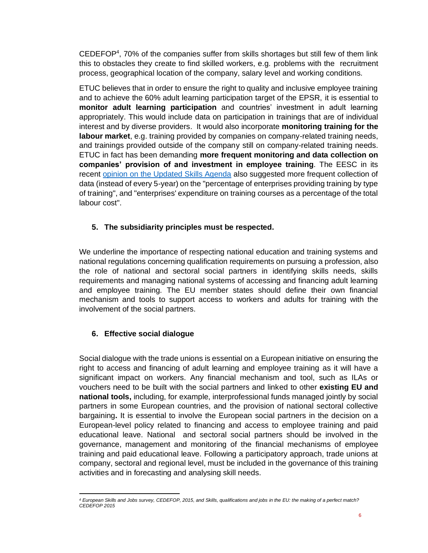CEDEFOP<sup>4</sup>, 70% of the companies suffer from skills shortages but still few of them link this to obstacles they create to find skilled workers, e.g. problems with the recruitment process, geographical location of the company, salary level and working conditions.

ETUC believes that in order to ensure the right to quality and inclusive employee training and to achieve the 60% adult learning participation target of the EPSR, it is essential to **monitor adult learning participation** and countries' investment in adult learning appropriately. This would include data on participation in trainings that are of individual interest and by diverse providers. It would also incorporate **monitoring training for the labour market**, e.g. training provided by companies on company-related training needs, and trainings provided outside of the company still on company-related training needs. ETUC in fact has been demanding **more frequent monitoring and data collection on companies' provision of and investment in employee training**. The EESC in its recent [opinion on the Updated Skills Agenda](https://www.eesc.europa.eu/en/our-work/opinions-information-reports/opinions/updated-skills-agenda) also suggested more frequent collection of data (instead of every 5-year) on the "percentage of enterprises providing training by type of training", and "enterprises' expenditure on training courses as a percentage of the total labour cost".

# **5. The subsidiarity principles must be respected.**

We underline the importance of respecting national education and training systems and national regulations concerning qualification requirements on pursuing a profession, also the role of national and sectoral social partners in identifying skills needs, skills requirements and managing national systems of accessing and financing adult learning and employee training. The EU member states should define their own financial mechanism and tools to support access to workers and adults for training with the involvement of the social partners.

# **6. Effective social dialogue**

Social dialogue with the trade unions is essential on a European initiative on ensuring the right to access and financing of adult learning and employee training as it will have a significant impact on workers. Any financial mechanism and tool, such as ILAs or vouchers need to be built with the social partners and linked to other **existing EU and national tools,** including, for example, interprofessional funds managed jointly by social partners in some European countries, and the provision of national sectoral collective bargaining**.** It is essential to involve the European social partners in the decision on a European-level policy related to financing and access to employee training and paid educational leave. National and sectoral social partners should be involved in the governance, management and monitoring of the financial mechanisms of employee training and paid educational leave. Following a participatory approach, trade unions at company, sectoral and regional level, must be included in the governance of this training activities and in forecasting and analysing skill needs.

*<sup>4</sup> European Skills and Jobs survey, CEDEFOP, 2015, and Skills, qualifications and jobs in the EU: the making of a perfect match? CEDEFOP 2015*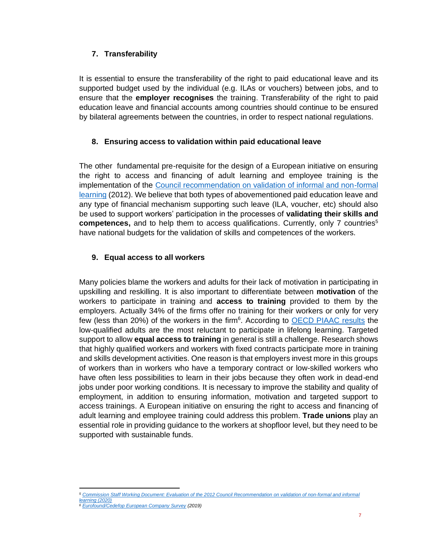# **7. Transferability**

It is essential to ensure the transferability of the right to paid educational leave and its supported budget used by the individual (e.g. ILAs or vouchers) between jobs, and to ensure that the **employer recognises** the training. Transferability of the right to paid education leave and financial accounts among countries should continue to be ensured by bilateral agreements between the countries, in order to respect national regulations.

# **8. Ensuring access to validation within paid educational leave**

The other fundamental pre-requisite for the design of a European initiative on ensuring the right to access and financing of adult learning and employee training is the implementation of the [Council recommendation on validation of informal and non-formal](https://eur-lex.europa.eu/legal-content/EN/TXT/?uri=celex%3A32012H1222%2801%29)  [learning](https://eur-lex.europa.eu/legal-content/EN/TXT/?uri=celex%3A32012H1222%2801%29) (2012). We believe that both types of abovementioned paid education leave and any type of financial mechanism supporting such leave (ILA, voucher, etc) should also be used to support workers' participation in the processes of **validating their skills and competences,** and to help them to access qualifications. Currently, only 7 countries<sup>5</sup> have national budgets for the validation of skills and competences of the workers.

# **9. Equal access to all workers**

Many policies blame the workers and adults for their lack of motivation in participating in upskilling and reskilling. It is also important to differentiate between **motivation** of the workers to participate in training and **access to training** provided to them by the employers. Actually 34% of the firms offer no training for their workers or only for very few (less than 20%) of the workers in the firm<sup>6</sup>. According to **OECD PIAAC results** the low-qualified adults are the most reluctant to participate in lifelong learning. Targeted support to allow **equal access to training** in general is still a challenge. Research shows that highly qualified workers and workers with fixed contracts participate more in training and skills development activities. One reason is that employers invest more in this groups of workers than in workers who have a temporary contract or low-skilled workers who have often less possibilities to learn in their jobs because they often work in dead-end jobs under poor working conditions. It is necessary to improve the stability and quality of employment, in addition to ensuring information, motivation and targeted support to access trainings. A European initiative on ensuring the right to access and financing of adult learning and employee training could address this problem. **Trade unions** play an essential role in providing guidance to the workers at shopfloor level, but they need to be supported with sustainable funds.

*<sup>5</sup> Commission Staff Working [Document: Evaluation of the 2012 Council Recommendation on validation of non-formal and informal](https://ec.europa.eu/social/BlobServlet?docId=22839&langId=en)  [learning](https://ec.europa.eu/social/BlobServlet?docId=22839&langId=en) (2020)*

*<sup>6</sup> [Eurofound/Cedefop European Company Survey](https://www.eurofound.europa.eu/sites/default/files/ef_publication/field_ef_document/ef20001en.pdf) (2019)*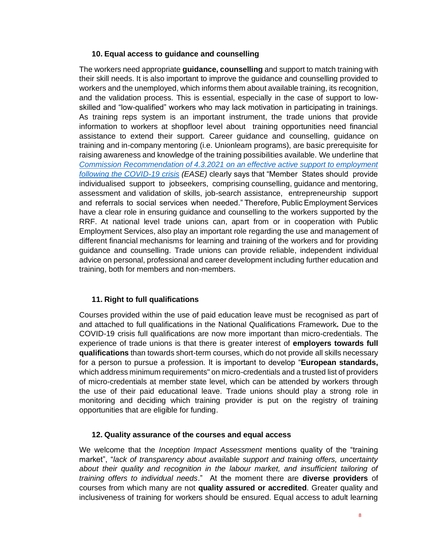## **10. Equal access to guidance and counselling**

The workers need appropriate **guidance, counselling** and support to match training with their skill needs. It is also important to improve the guidance and counselling provided to workers and the unemployed, which informs them about available training, its recognition, and the validation process. This is essential, especially in the case of support to lowskilled and "low-qualified" workers who may lack motivation in participating in trainings. As training reps system is an important instrument, the trade unions that provide information to workers at shopfloor level about training opportunities need financial assistance to extend their support. Career guidance and counselling, guidance on training and in-company mentoring (i.e. Unionlearn programs), are basic prerequisite for raising awareness and knowledge of the training possibilities available. We underline that *Commission Recommendation of 4.3.2021 [on an effective active support to employment](https://www.google.com/url?sa=t&rct=j&q=&esrc=s&source=web&cd=&ved=2ahUKEwjw8qjGjLLwAhW9wQIHHSxaBsYQFjABegQIAhAD&url=https%3A%2F%2Fec.europa.eu%2Fsocial%2FBlobServlet%3FdocId%3D23699%26langId%3Den&usg=AOvVaw0jg55YuaaLMMyvZYptY7bm)  [following the COVID-19 crisis](https://www.google.com/url?sa=t&rct=j&q=&esrc=s&source=web&cd=&ved=2ahUKEwjw8qjGjLLwAhW9wQIHHSxaBsYQFjABegQIAhAD&url=https%3A%2F%2Fec.europa.eu%2Fsocial%2FBlobServlet%3FdocId%3D23699%26langId%3Den&usg=AOvVaw0jg55YuaaLMMyvZYptY7bm) (EASE)* clearly says that "Member States should provide individualised support to jobseekers, comprising counselling, guidance and mentoring, assessment and validation of skills, job-search assistance, entrepreneurship support and referrals to social services when needed." Therefore, Public Employment Services have a clear role in ensuring guidance and counselling to the workers supported by the RRF. At national level trade unions can, apart from or in cooperation with Public Employment Services, also play an important role regarding the use and management of different financial mechanisms for learning and training of the workers and for providing guidance and counselling. Trade unions can provide reliable, independent individual advice on personal, professional and career development including further education and training, both for members and non-members.

## **11. Right to full qualifications**

Courses provided within the use of paid education leave must be recognised as part of and attached to full qualifications in the National Qualifications Framework**.** Due to the COVID-19 crisis full qualifications are now more important than micro-credentials. The experience of trade unions is that there is greater interest of **employers towards full qualifications** than towards short-term courses, which do not provide all skills necessary for a person to pursue a profession. It is important to develop "**European standards,** which address minimum requirements" on micro-credentials and a trusted list of providers of micro-credentials at member state level, which can be attended by workers through the use of their paid educational leave. Trade unions should play a strong role in monitoring and deciding which training provider is put on the registry of training opportunities that are eligible for funding.

## **12. Quality assurance of the courses and equal access**

We welcome that the *Inception Impact Assessment* mentions quality of the "training market", "*lack of transparency about available support and training offers, uncertainty about their quality and recognition in the labour market, and insufficient tailoring of training offers to individual needs*." At the moment there are **diverse providers** of courses from which many are not **quality assured or accredited**. Greater quality and inclusiveness of training for workers should be ensured. Equal access to adult learning